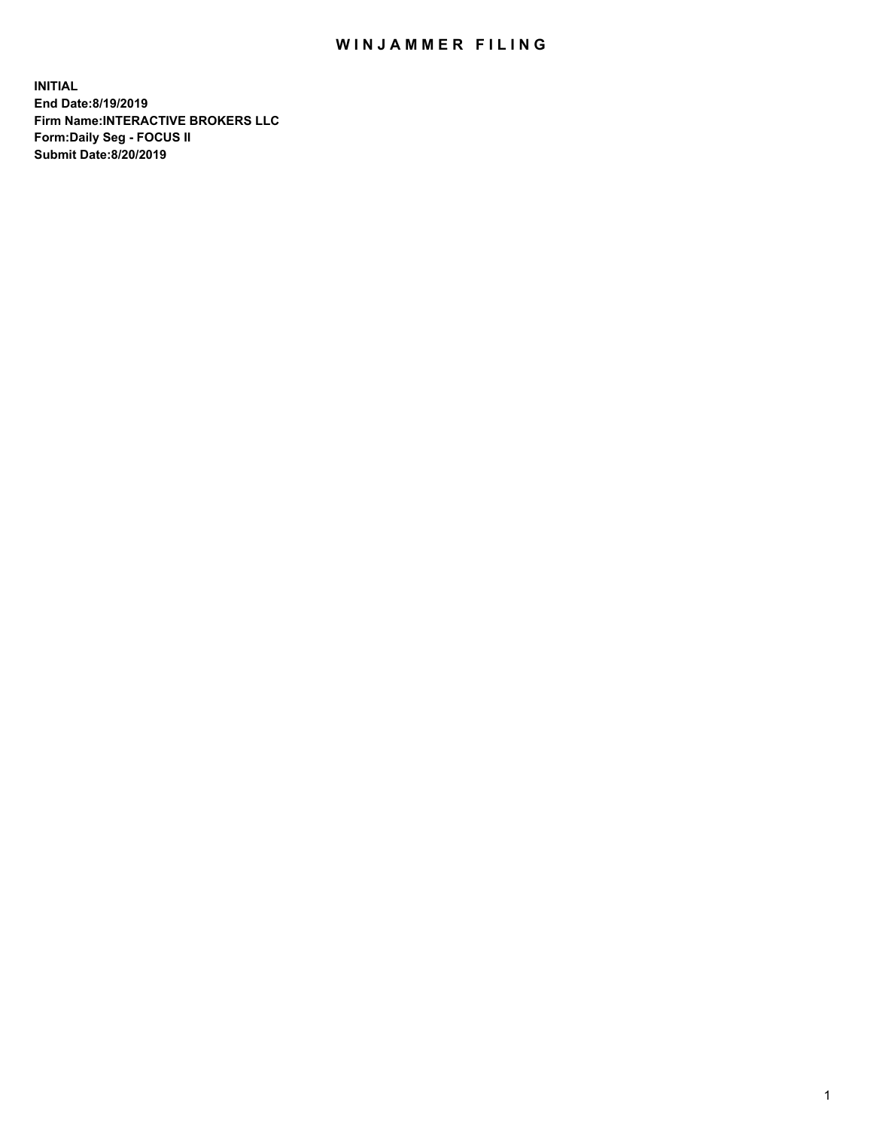## WIN JAMMER FILING

**INITIAL End Date:8/19/2019 Firm Name:INTERACTIVE BROKERS LLC Form:Daily Seg - FOCUS II Submit Date:8/20/2019**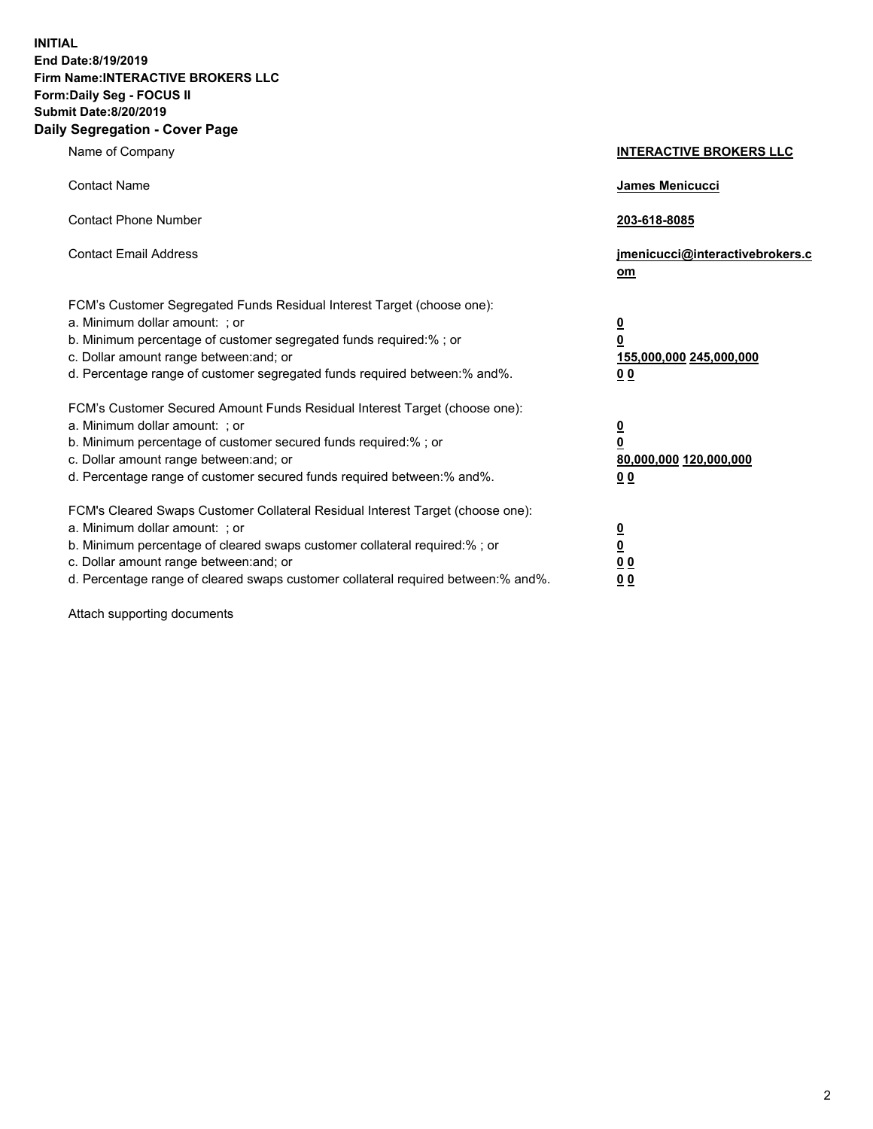**INITIAL End Date:8/19/2019 Firm Name:INTERACTIVE BROKERS LLC Form:Daily Seg - FOCUS II Submit Date:8/20/2019 Daily Segregation - Cover Page**

| Name of Company                                                                                                                                                                                                                                                                                                                | <b>INTERACTIVE BROKERS LLC</b>                                                                  |
|--------------------------------------------------------------------------------------------------------------------------------------------------------------------------------------------------------------------------------------------------------------------------------------------------------------------------------|-------------------------------------------------------------------------------------------------|
| <b>Contact Name</b>                                                                                                                                                                                                                                                                                                            | James Menicucci                                                                                 |
| <b>Contact Phone Number</b>                                                                                                                                                                                                                                                                                                    | 203-618-8085                                                                                    |
| <b>Contact Email Address</b>                                                                                                                                                                                                                                                                                                   | jmenicucci@interactivebrokers.c<br>om                                                           |
| FCM's Customer Segregated Funds Residual Interest Target (choose one):<br>a. Minimum dollar amount: ; or<br>b. Minimum percentage of customer segregated funds required:% ; or<br>c. Dollar amount range between: and; or<br>d. Percentage range of customer segregated funds required between:% and%.                         | $\overline{\mathbf{0}}$<br>$\overline{\mathbf{0}}$<br>155,000,000 245,000,000<br>0 <sub>0</sub> |
| FCM's Customer Secured Amount Funds Residual Interest Target (choose one):<br>a. Minimum dollar amount: ; or<br>b. Minimum percentage of customer secured funds required:% ; or<br>c. Dollar amount range between: and; or<br>d. Percentage range of customer secured funds required between:% and%.                           | $\overline{\mathbf{0}}$<br>0<br>80,000,000 120,000,000<br>0 <sub>0</sub>                        |
| FCM's Cleared Swaps Customer Collateral Residual Interest Target (choose one):<br>a. Minimum dollar amount: ; or<br>b. Minimum percentage of cleared swaps customer collateral required:% ; or<br>c. Dollar amount range between: and; or<br>d. Percentage range of cleared swaps customer collateral required between:% and%. | $\overline{\mathbf{0}}$<br><u>0</u><br>$\underline{0}$ $\underline{0}$<br>00                    |

Attach supporting documents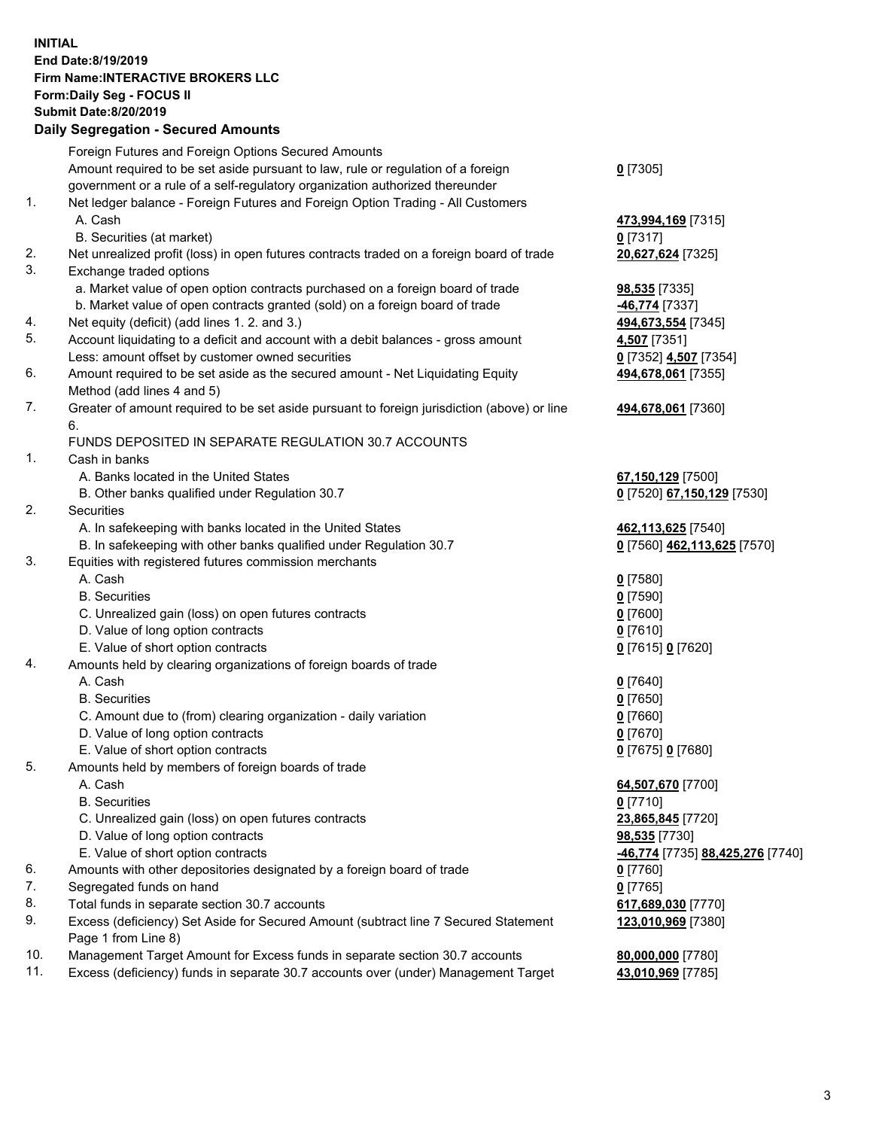## **INITIAL End Date:8/19/2019 Firm Name:INTERACTIVE BROKERS LLC Form:Daily Seg - FOCUS II Submit Date:8/20/2019 Daily Segregation - Secured Amounts**

|                | Daily Ocglegation - Occuled Aniounts                                                        |                                               |
|----------------|---------------------------------------------------------------------------------------------|-----------------------------------------------|
|                | Foreign Futures and Foreign Options Secured Amounts                                         |                                               |
|                | Amount required to be set aside pursuant to law, rule or regulation of a foreign            | $0$ [7305]                                    |
|                | government or a rule of a self-regulatory organization authorized thereunder                |                                               |
| $\mathbf{1}$ . | Net ledger balance - Foreign Futures and Foreign Option Trading - All Customers             |                                               |
|                | A. Cash                                                                                     | 473,994,169 [7315]                            |
|                | B. Securities (at market)                                                                   | $0$ [7317]                                    |
| 2.             | Net unrealized profit (loss) in open futures contracts traded on a foreign board of trade   | 20,627,624 [7325]                             |
| 3.             | Exchange traded options                                                                     |                                               |
|                | a. Market value of open option contracts purchased on a foreign board of trade              | <b>98,535</b> [7335]                          |
|                | b. Market value of open contracts granted (sold) on a foreign board of trade                | -46,774 [7337]                                |
| 4.             | Net equity (deficit) (add lines 1. 2. and 3.)                                               | 494,673,554 [7345]                            |
| 5.             | Account liquidating to a deficit and account with a debit balances - gross amount           | 4,507 [7351]                                  |
|                | Less: amount offset by customer owned securities                                            | 0 [7352] 4,507 [7354]                         |
| 6.             | Amount required to be set aside as the secured amount - Net Liquidating Equity              | 494,678,061 [7355]                            |
|                | Method (add lines 4 and 5)                                                                  |                                               |
| 7.             | Greater of amount required to be set aside pursuant to foreign jurisdiction (above) or line | 494,678,061 [7360]                            |
|                | 6.                                                                                          |                                               |
|                | FUNDS DEPOSITED IN SEPARATE REGULATION 30.7 ACCOUNTS                                        |                                               |
| $\mathbf{1}$ . | Cash in banks                                                                               |                                               |
|                | A. Banks located in the United States                                                       | 67,150,129 [7500]                             |
|                | B. Other banks qualified under Regulation 30.7                                              | 0 [7520] 67,150,129 [7530]                    |
| 2.             | Securities                                                                                  |                                               |
|                | A. In safekeeping with banks located in the United States                                   | 462,113,625 [7540]                            |
|                | B. In safekeeping with other banks qualified under Regulation 30.7                          | 0 [7560] 462,113,625 [7570]                   |
| 3.             | Equities with registered futures commission merchants                                       |                                               |
|                | A. Cash                                                                                     | $0$ [7580]                                    |
|                | <b>B.</b> Securities                                                                        | $0$ [7590]                                    |
|                | C. Unrealized gain (loss) on open futures contracts                                         | $0$ [7600]                                    |
|                | D. Value of long option contracts                                                           | $0$ [7610]                                    |
|                | E. Value of short option contracts                                                          | 0 [7615] 0 [7620]                             |
| 4.             | Amounts held by clearing organizations of foreign boards of trade                           |                                               |
|                | A. Cash                                                                                     | $0$ [7640]                                    |
|                | <b>B.</b> Securities                                                                        | $0$ [7650]                                    |
|                | C. Amount due to (from) clearing organization - daily variation                             | $0$ [7660]                                    |
|                | D. Value of long option contracts                                                           | $0$ [7670]                                    |
|                | E. Value of short option contracts                                                          | 0 [7675] 0 [7680]                             |
| 5.             | Amounts held by members of foreign boards of trade                                          |                                               |
|                | A. Cash                                                                                     | 64,507,670 [7700]                             |
|                | <b>B.</b> Securities                                                                        | $0$ [7710]                                    |
|                | C. Unrealized gain (loss) on open futures contracts                                         | 23,865,845 [7720]                             |
|                | D. Value of long option contracts                                                           | 98,535 [7730]                                 |
|                | E. Value of short option contracts                                                          | <mark>-46,774</mark> [7735] 88,425,276 [7740] |
| 6.             | Amounts with other depositories designated by a foreign board of trade                      | $0$ [7760]                                    |
| 7.             | Segregated funds on hand                                                                    | $0$ [7765]                                    |
| 8.             | Total funds in separate section 30.7 accounts                                               | 617,689,030 [7770]                            |
| 9.             | Excess (deficiency) Set Aside for Secured Amount (subtract line 7 Secured Statement         | 123,010,969 [7380]                            |
|                | Page 1 from Line 8)                                                                         |                                               |
| 10.            | Management Target Amount for Excess funds in separate section 30.7 accounts                 | 80,000,000 [7780]                             |
| 11.            | Excess (deficiency) funds in separate 30.7 accounts over (under) Management Target          | 43,010,969 [7785]                             |
|                |                                                                                             |                                               |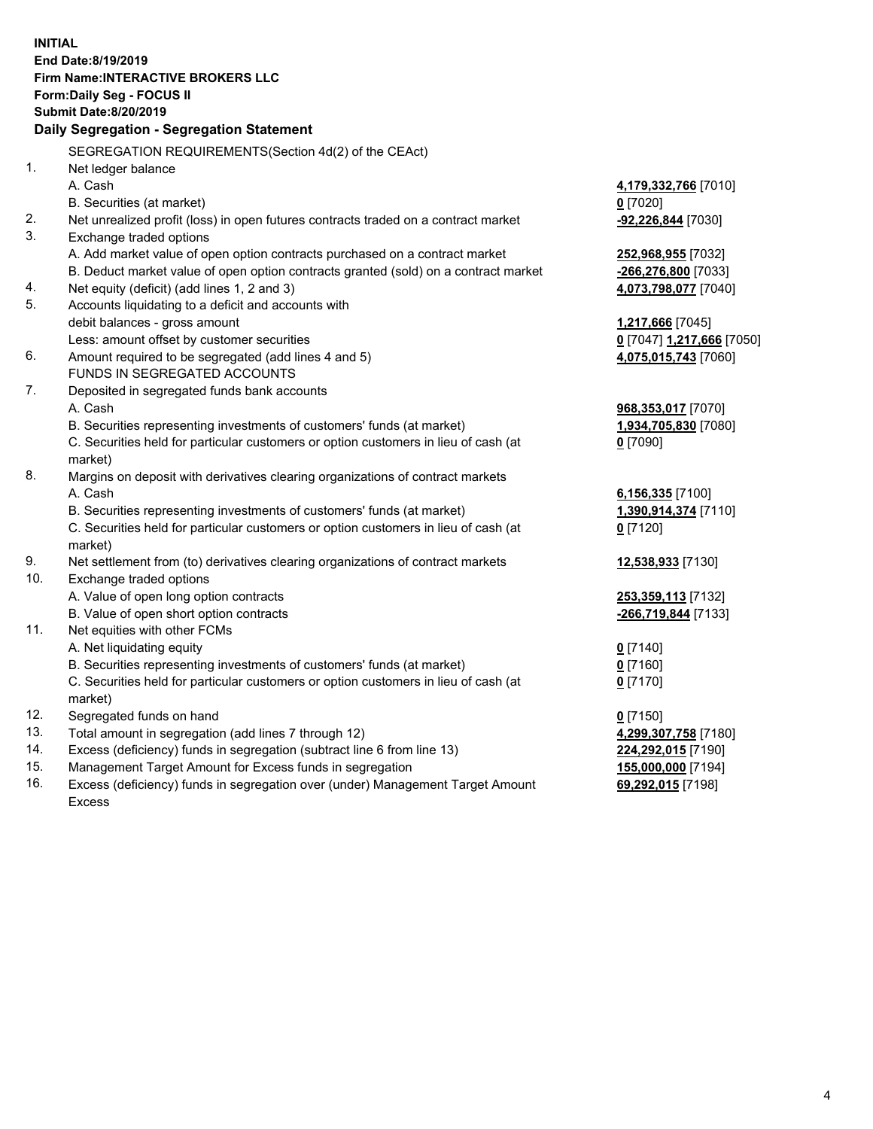**INITIAL End Date:8/19/2019 Firm Name:INTERACTIVE BROKERS LLC Form:Daily Seg - FOCUS II Submit Date:8/20/2019 Daily Segregation - Segregation Statement** SEGREGATION REQUIREMENTS(Section 4d(2) of the CEAct) 1. Net ledger balance A. Cash **4,179,332,766** [7010] B. Securities (at market) **0** [7020] 2. Net unrealized profit (loss) in open futures contracts traded on a contract market **-92,226,844** [7030] 3. Exchange traded options A. Add market value of open option contracts purchased on a contract market **252,968,955** [7032] B. Deduct market value of open option contracts granted (sold) on a contract market **-266,276,800** [7033] 4. Net equity (deficit) (add lines 1, 2 and 3) **4,073,798,077** [7040] 5. Accounts liquidating to a deficit and accounts with debit balances - gross amount **1,217,666** [7045] Less: amount offset by customer securities **0** [7047] **1,217,666** [7050] 6. Amount required to be segregated (add lines 4 and 5) **4,075,015,743** [7060] FUNDS IN SEGREGATED ACCOUNTS 7. Deposited in segregated funds bank accounts A. Cash **968,353,017** [7070] B. Securities representing investments of customers' funds (at market) **1,934,705,830** [7080] C. Securities held for particular customers or option customers in lieu of cash (at market) **0** [7090] 8. Margins on deposit with derivatives clearing organizations of contract markets A. Cash **6,156,335** [7100] B. Securities representing investments of customers' funds (at market) **1,390,914,374** [7110] C. Securities held for particular customers or option customers in lieu of cash (at market) **0** [7120] 9. Net settlement from (to) derivatives clearing organizations of contract markets **12,538,933** [7130] 10. Exchange traded options A. Value of open long option contracts **253,359,113** [7132] B. Value of open short option contracts **-266,719,844** [7133] 11. Net equities with other FCMs A. Net liquidating equity **0** [7140] B. Securities representing investments of customers' funds (at market) **0** [7160] C. Securities held for particular customers or option customers in lieu of cash (at market) **0** [7170] 12. Segregated funds on hand **0** [7150] 13. Total amount in segregation (add lines 7 through 12) **4,299,307,758** [7180] 14. Excess (deficiency) funds in segregation (subtract line 6 from line 13) **224,292,015** [7190] 15. Management Target Amount for Excess funds in segregation **155,000,000** [7194] **69,292,015** [7198]

16. Excess (deficiency) funds in segregation over (under) Management Target Amount Excess